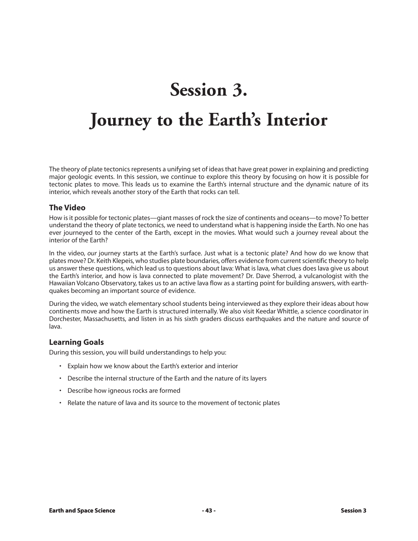# **Session 3.**

# **Journey to the Earth's Interior**

The theory of plate tectonics represents a unifying set of ideas that have great power in explaining and predicting major geologic events. In this session, we continue to explore this theory by focusing on how it is possible for tectonic plates to move. This leads us to examine the Earth's internal structure and the dynamic nature of its interior, which reveals another story of the Earth that rocks can tell.

### **The Video**

How is it possible for tectonic plates—giant masses of rock the size of continents and oceans—to move? To better understand the theory of plate tectonics, we need to understand what is happening inside the Earth. No one has ever journeyed to the center of the Earth, except in the movies. What would such a journey reveal about the interior of the Earth?

In the video, *our* journey starts at the Earth's surface. Just what is a tectonic plate? And how do we know that plates move? Dr. Keith Klepeis, who studies plate boundaries, offers evidence from current scientific theory to help us answer these questions, which lead us to questions about lava: What is lava, what clues does lava give us about the Earth's interior, and how is lava connected to plate movement? Dr. Dave Sherrod, a vulcanologist with the Hawaiian Volcano Observatory, takes us to an active lava flow as a starting point for building answers, with earthquakes becoming an important source of evidence.

During the video, we watch elementary school students being interviewed as they explore their ideas about how continents move and how the Earth is structured internally. We also visit Keedar Whittle, a science coordinator in Dorchester, Massachusetts, and listen in as his sixth graders discuss earthquakes and the nature and source of lava.

### **Learning Goals**

During this session, you will build understandings to help you:

- Explain how we know about the Earth's exterior and interior
- Describe the internal structure of the Earth and the nature of its layers
- Describe how igneous rocks are formed
- Relate the nature of lava and its source to the movement of tectonic plates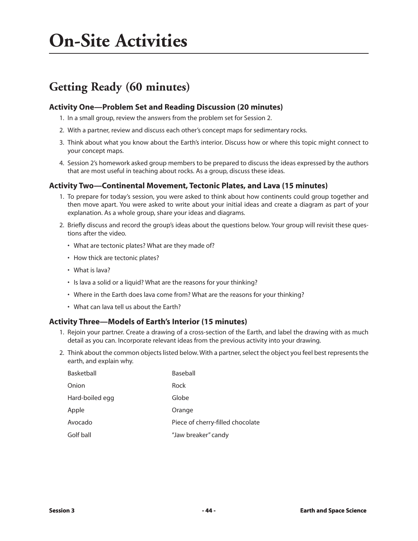# **On-Site Activities**

## **Getting Ready (60 minutes)**

### **Activity One—Problem Set and Reading Discussion (20 minutes)**

- 1. In a small group, review the answers from the problem set for Session 2.
- 2. With a partner, review and discuss each other's concept maps for sedimentary rocks.
- 3. Think about what you know about the Earth's interior. Discuss how or where this topic might connect to your concept maps.
- 4. Session 2's homework asked group members to be prepared to discuss the ideas expressed by the authors that are most useful in teaching about rocks. As a group, discuss these ideas.

### **Activity Two—Continental Movement, Tectonic Plates, and Lava (15 minutes)**

- 1. To prepare for today's session, you were asked to think about how continents could group together and then move apart. You were asked to write about your initial ideas and create a diagram as part of your explanation. As a whole group, share your ideas and diagrams.
- 2. Briefly discuss and record the group's ideas about the questions below. Your group will revisit these questions after the video.
	- What are tectonic plates? What are they made of?
	- How thick are tectonic plates?
	- What is lava?
	- Is lava a solid or a liquid? What are the reasons for your thinking?
	- Where in the Earth does lava come from? What are the reasons for your thinking?
	- What can lava tell us about the Earth?

### **Activity Three—Models of Earth's Interior (15 minutes)**

- 1. Rejoin your partner. Create a drawing of a cross-section of the Earth, and label the drawing with as much detail as you can. Incorporate relevant ideas from the previous activity into your drawing.
- 2. Think about the common objects listed below. With a partner, select the object you feel best represents the earth, and explain why.

| Basketball      | Baseball                         |
|-----------------|----------------------------------|
| Onion           | Rock                             |
| Hard-boiled egg | Globe                            |
| Apple           | Orange                           |
| Avocado         | Piece of cherry-filled chocolate |
| Golf ball       | "Jaw breaker" candy              |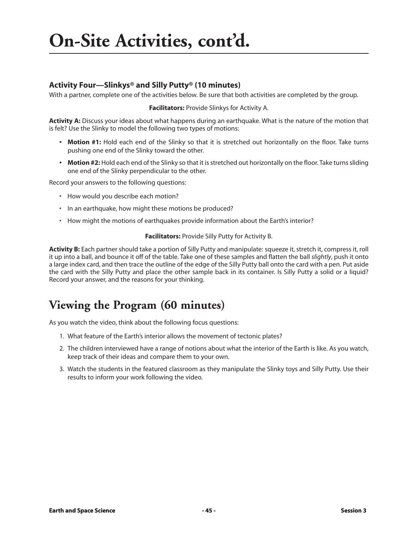# **On-Site Activities, cont'd.**

## **Activity Four—Slinkys® and Silly Putty® (10 minutes)**

With a partner, complete one of the activities below. Be sure that both activities are completed by the group.

#### **Facilitators:** Provide Slinkys for Activity A.

**Activity A:** Discuss your ideas about what happens during an earthquake. What is the nature of the motion that is felt? Use the Slinky to model the following two types of motions:

- **Motion #1:** Hold each end of the Slinky so that it is stretched out horizontally on the floor. Take turns pushing one end of the Slinky toward the other.
- **Motion #2:** Hold each end of the Slinky so that it is stretched out horizontally on the floor. Take turns sliding one end of the Slinky perpendicular to the other.

Record your answers to the following questions:

- How would you describe each motion?
- In an earthquake, how might these motions be produced?
- How might the motions of earthquakes provide information about the Earth's interior?

#### **Facilitators:** Provide Silly Putty for Activity B.

**Activity B:** Each partner should take a portion of Silly Putty and manipulate: squeeze it, stretch it, compress it, roll it up into a ball, and bounce it off of the table. Take one of these samples and flatten the ball *slightly*, push it onto a large index card, and then trace the outline of the edge of the Silly Putty ball onto the card with a pen. Put aside the card with the Silly Putty and place the other sample back in its container. Is Silly Putty a solid or a liquid? Record your answer, and the reasons for your thinking.

## **Viewing the Program (60 minutes)**

As you watch the video, think about the following focus questions:

- 1. What feature of the Earth's interior allows the movement of tectonic plates?
- 2. The children interviewed have a range of notions about what the interior of the Earth is like. As you watch, keep track of their ideas and compare them to your own.
- 3. Watch the students in the featured classroom as they manipulate the Slinky toys and Silly Putty. Use their results to inform your work following the video.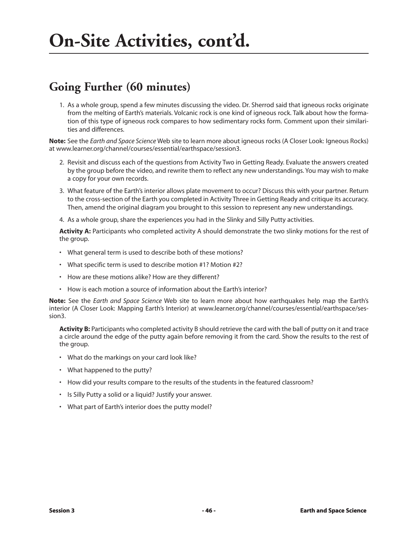## **Going Further (60 minutes)**

1. As a whole group, spend a few minutes discussing the video. Dr. Sherrod said that igneous rocks originate from the melting of Earth's materials. Volcanic rock is one kind of igneous rock. Talk about how the formation of this type of igneous rock compares to how sedimentary rocks form. Comment upon their similarities and differences.

**Note:** See the *Earth and Space Science* Web site to learn more about igneous rocks (A Closer Look: Igneous Rocks) at www.learner.org/channel/courses/essential/earthspace/session3.

- 2. Revisit and discuss each of the questions from Activity Two in Getting Ready. Evaluate the answers created by the group before the video, and rewrite them to reflect any new understandings. You may wish to make a copy for your own records.
- 3. What feature of the Earth's interior allows plate movement to occur? Discuss this with your partner. Return to the cross-section of the Earth you completed in Activity Three in Getting Ready and critique its accuracy. Then, amend the original diagram you brought to this session to represent any new understandings.
- 4. As a whole group, share the experiences you had in the Slinky and Silly Putty activities.

**Activity A:** Participants who completed activity A should demonstrate the two slinky motions for the rest of the group.

- What general term is used to describe both of these motions?
- What specific term is used to describe motion #1? Motion #2?
- How are these motions alike? How are they different?
- How is each motion a source of information about the Earth's interior?

**Note:** See the *Earth and Space Science* Web site to learn more about how earthquakes help map the Earth's interior (A Closer Look: Mapping Earth's Interior) at www.learner.org/channel/courses/essential/earthspace/session3.

**Activity B:** Participants who completed activity B should retrieve the card with the ball of putty on it and trace a circle around the edge of the putty again before removing it from the card. Show the results to the rest of the group.

- What do the markings on your card look like?
- What happened to the putty?
- How did your results compare to the results of the students in the featured classroom?
- Is Silly Putty a solid or a liquid? Justify your answer.
- What part of Earth's interior does the putty model?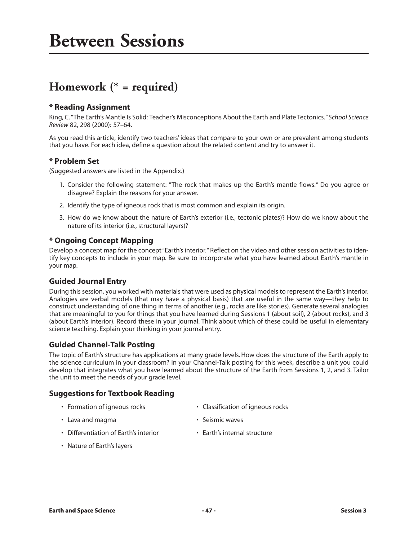# **Homework (\* = required)**

### **\* Reading Assignment**

King, C. "The Earth's Mantle Is Solid: Teacher's Misconceptions About the Earth and Plate Tectonics."*School Science Review* 82, 298 (2000): 57–64.

As you read this article, identify two teachers' ideas that compare to your own or are prevalent among students that you have. For each idea, define a question about the related content and try to answer it.

#### **\* Problem Set**

(Suggested answers are listed in the Appendix.)

- 1. Consider the following statement: "The rock that makes up the Earth's mantle flows." Do you agree or disagree? Explain the reasons for your answer.
- 2. Identify the type of igneous rock that is most common and explain its origin.
- 3. How do we know about the nature of Earth's exterior (i.e., tectonic plates)? How do we know about the nature of its interior (i.e., structural layers)?

### **\* Ongoing Concept Mapping**

Develop a concept map for the concept "Earth's interior." Reflect on the video and other session activities to identify key concepts to include in your map. Be sure to incorporate what you have learned about Earth's mantle in your map.

### **Guided Journal Entry**

During this session, you worked with materials that were used as physical models to represent the Earth's interior. Analogies are verbal models (that may have a physical basis) that are useful in the same way—they help to construct understanding of one thing in terms of another (e.g., rocks are like stories). Generate several analogies that are meaningful to you for things that you have learned during Sessions 1 (about soil), 2 (about rocks), and 3 (about Earth's interior). Record these in your journal. Think about which of these could be useful in elementary science teaching. Explain your thinking in your journal entry.

### **Guided Channel-Talk Posting**

The topic of Earth's structure has applications at many grade levels*.*How does the structure of the Earth apply to the science curriculum in your classroom? In your Channel-Talk posting for this week, describe a unit you could develop that integrates what you have learned about the structure of the Earth from Sessions 1, 2, and 3. Tailor the unit to meet the needs of your grade level.

### **Suggestions for Textbook Reading**

- 
- Formation of igneous rocks Classification of igneous rocks
- Lava and magma **•** Seismic waves
	-
- Differentiation of Earth's interior Earth's internal structure
- 

• Nature of Earth's layers